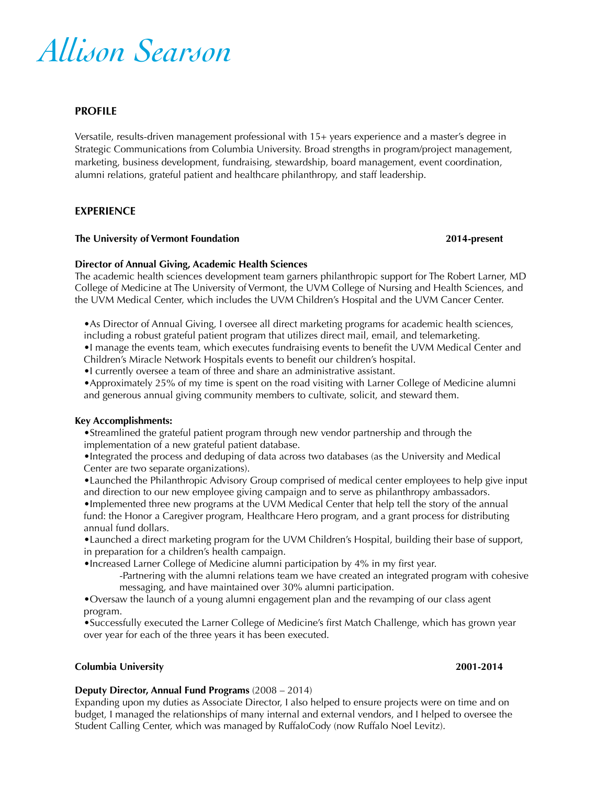

# **PROFILE**

Versatile, results-driven management professional with 15+ years experience and a master's degree in Strategic Communications from Columbia University. Broad strengths in program/project management, marketing, business development, fundraising, stewardship, board management, event coordination, alumni relations, grateful patient and healthcare philanthropy, and staff leadership.

## **EXPERIENCE**

## **The University of Vermont Foundation 2014-present**

## **Director of Annual Giving, Academic Health Sciences**

The academic health sciences development team garners philanthropic support for The Robert Larner, MD College of Medicine at The University of Vermont, the UVM College of Nursing and Health Sciences, and the UVM Medical Center, which includes the UVM Children's Hospital and the UVM Cancer Center.

•As Director of Annual Giving, I oversee all direct marketing programs for academic health sciences, including a robust grateful patient program that utilizes direct mail, email, and telemarketing. •I manage the events team, which executes fundraising events to benefit the UVM Medical Center and

Children's Miracle Network Hospitals events to benefit our children's hospital.

•I currently oversee a team of three and share an administrative assistant.

•Approximately 25% of my time is spent on the road visiting with Larner College of Medicine alumni and generous annual giving community members to cultivate, solicit, and steward them.

## **Key Accomplishments:**

•Streamlined the grateful patient program through new vendor partnership and through the implementation of a new grateful patient database.

•Integrated the process and deduping of data across two databases (as the University and Medical Center are two separate organizations).

•Launched the Philanthropic Advisory Group comprised of medical center employees to help give input and direction to our new employee giving campaign and to serve as philanthropy ambassadors.

•Implemented three new programs at the UVM Medical Center that help tell the story of the annual fund: the Honor a Caregiver program, Healthcare Hero program, and a grant process for distributing annual fund dollars.

•Launched a direct marketing program for the UVM Children's Hospital, building their base of support, in preparation for a children's health campaign.

•Increased Larner College of Medicine alumni participation by 4% in my first year.

-Partnering with the alumni relations team we have created an integrated program with cohesive messaging, and have maintained over 30% alumni participation.

•Oversaw the launch of a young alumni engagement plan and the revamping of our class agent program.

•Successfully executed the Larner College of Medicine's first Match Challenge, which has grown year over year for each of the three years it has been executed.

## **Columbia University 2001-2014**

## **Deputy Director, Annual Fund Programs** (2008 – 2014)

Expanding upon my duties as Associate Director, I also helped to ensure projects were on time and on budget, I managed the relationships of many internal and external vendors, and I helped to oversee the Student Calling Center, which was managed by RuffaloCody (now Ruffalo Noel Levitz).